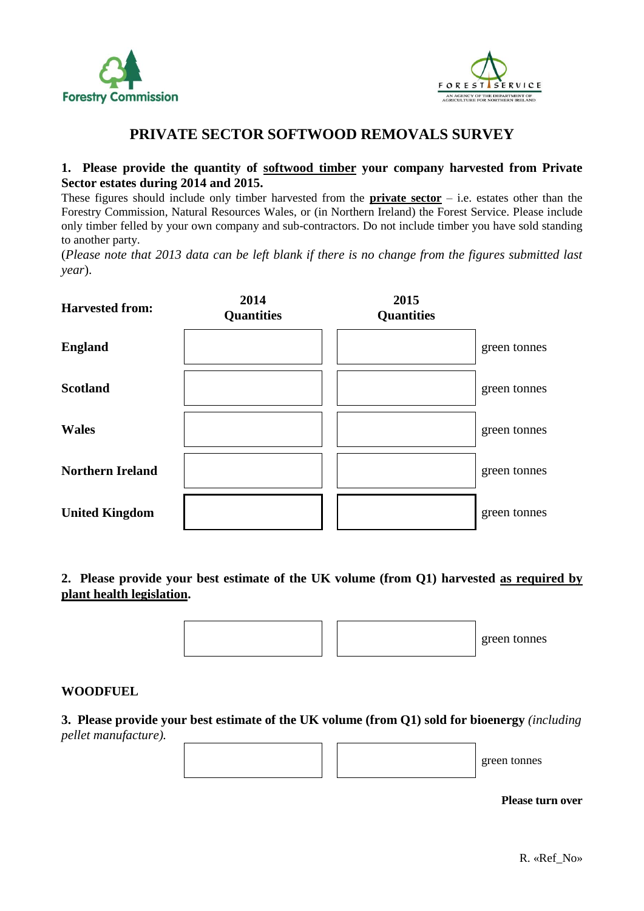



# **PRIVATE SECTOR SOFTWOOD REMOVALS SURVEY**

### **1. Please provide the quantity of softwood timber your company harvested from Private Sector estates during 2014 and 2015.**

These figures should include only timber harvested from the **private sector** – i.e. estates other than the Forestry Commission, Natural Resources Wales, or (in Northern Ireland) the Forest Service. Please include only timber felled by your own company and sub-contractors. Do not include timber you have sold standing to another party.

(*Please note that 2013 data can be left blank if there is no change from the figures submitted last year*).

| <b>Harvested from:</b>  | 2014<br><b>Quantities</b> | 2015<br><b>Quantities</b> |              |
|-------------------------|---------------------------|---------------------------|--------------|
| <b>England</b>          |                           |                           | green tonnes |
| <b>Scotland</b>         |                           |                           | green tonnes |
| <b>Wales</b>            |                           |                           | green tonnes |
| <b>Northern Ireland</b> |                           |                           | green tonnes |
| <b>United Kingdom</b>   |                           |                           | green tonnes |

**2. Please provide your best estimate of the UK volume (from Q1) harvested as required by plant health legislation.**



green tonnes

#### **WOODFUEL**

**3. Please provide your best estimate of the UK volume (from Q1) sold for bioenergy** *(including pellet manufacture).*

**Please turn over**